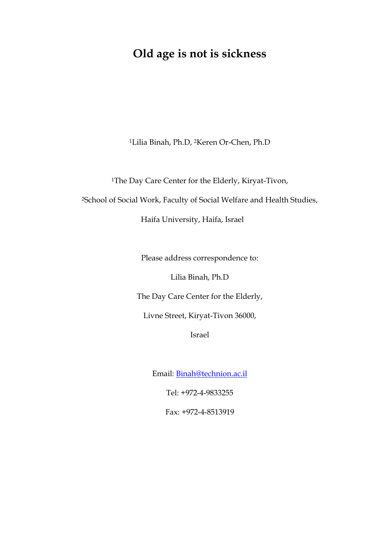# **Old age is not is sickness**

<sup>1</sup>Lilia Binah, Ph.D, 2Keren Or-Chen, Ph.D

<sup>1</sup>The Day Care Center for the Elderly, Kiryat-Tivon,

<sup>2</sup>School of Social Work, Faculty of Social Welfare and Health Studies,

Haifa University, Haifa, Israel

Please address correspondence to:

Lilia Binah, Ph.D

The Day Care Center for the Elderly,

Livne Street, Kiryat-Tivon 36000,

Israel

Email: [Binah@technion.ac.il](mailto:Binah@technion.ac.il)

Tel: +972-4-9833255

Fax: +972-4-8513919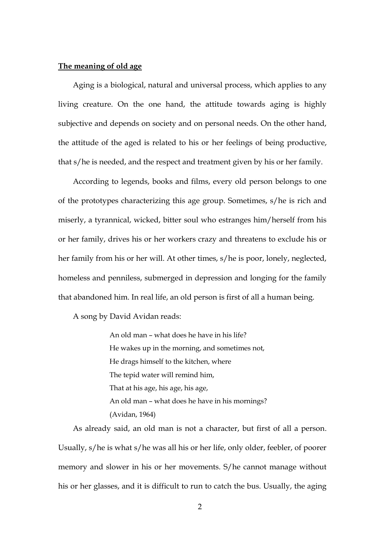# **The meaning of old age**

Aging is a biological, natural and universal process, which applies to any living creature. On the one hand, the attitude towards aging is highly subjective and depends on society and on personal needs. On the other hand, the attitude of the aged is related to his or her feelings of being productive, that s/he is needed, and the respect and treatment given by his or her family.

According to legends, books and films, every old person belongs to one of the prototypes characterizing this age group. Sometimes, s/he is rich and miserly, a tyrannical, wicked, bitter soul who estranges him/herself from his or her family, drives his or her workers crazy and threatens to exclude his or her family from his or her will. At other times, s/he is poor, lonely, neglected, homeless and penniless, submerged in depression and longing for the family that abandoned him. In real life, an old person is first of all a human being.

A song by David Avidan reads:

An old man – what does he have in his life? He wakes up in the morning, and sometimes not, He drags himself to the kitchen, where The tepid water will remind him, That at his age, his age, his age, An old man – what does he have in his mornings? (Avidan, 1964)

As already said, an old man is not a character, but first of all a person. Usually, s/he is what s/he was all his or her life, only older, feebler, of poorer memory and slower in his or her movements. S/he cannot manage without his or her glasses, and it is difficult to run to catch the bus. Usually, the aging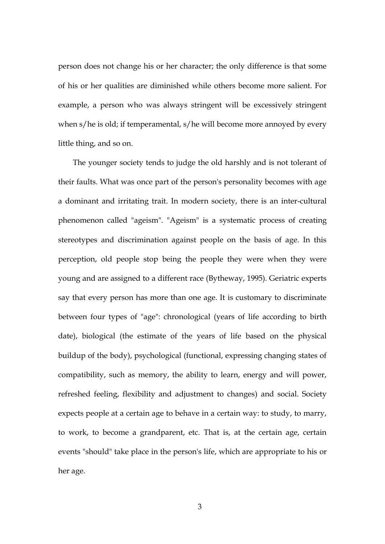person does not change his or her character; the only difference is that some of his or her qualities are diminished while others become more salient. For example, a person who was always stringent will be excessively stringent when s/he is old; if temperamental, s/he will become more annoyed by every little thing, and so on.

The younger society tends to judge the old harshly and is not tolerant of their faults. What was once part of the person's personality becomes with age a dominant and irritating trait. In modern society, there is an inter-cultural phenomenon called "ageism". "Ageism" is a systematic process of creating stereotypes and discrimination against people on the basis of age. In this perception, old people stop being the people they were when they were young and are assigned to a different race (Bytheway, 1995). Geriatric experts say that every person has more than one age. It is customary to discriminate between four types of "age": chronological (years of life according to birth date), biological (the estimate of the years of life based on the physical buildup of the body), psychological (functional, expressing changing states of compatibility, such as memory, the ability to learn, energy and will power, refreshed feeling, flexibility and adjustment to changes) and social. Society expects people at a certain age to behave in a certain way: to study, to marry, to work, to become a grandparent, etc. That is, at the certain age, certain events "should" take place in the person's life, which are appropriate to his or her age.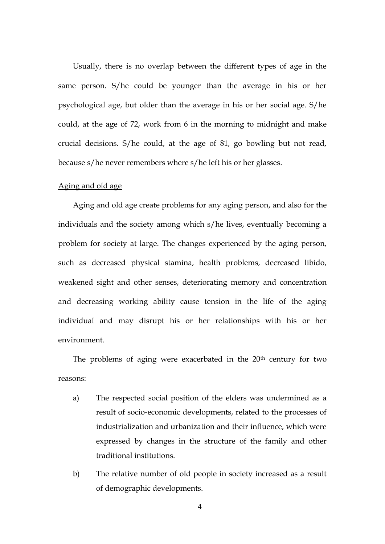Usually, there is no overlap between the different types of age in the same person. S/he could be younger than the average in his or her psychological age, but older than the average in his or her social age. S/he could, at the age of 72, work from 6 in the morning to midnight and make crucial decisions. S/he could, at the age of 81, go bowling but not read, because s/he never remembers where s/he left his or her glasses.

# Aging and old age

Aging and old age create problems for any aging person, and also for the individuals and the society among which s/he lives, eventually becoming a problem for society at large. The changes experienced by the aging person, such as decreased physical stamina, health problems, decreased libido, weakened sight and other senses, deteriorating memory and concentration and decreasing working ability cause tension in the life of the aging individual and may disrupt his or her relationships with his or her environment.

The problems of aging were exacerbated in the 20<sup>th</sup> century for two reasons:

- a) The respected social position of the elders was undermined as a result of socio-economic developments, related to the processes of industrialization and urbanization and their influence, which were expressed by changes in the structure of the family and other traditional institutions.
- b) The relative number of old people in society increased as a result of demographic developments.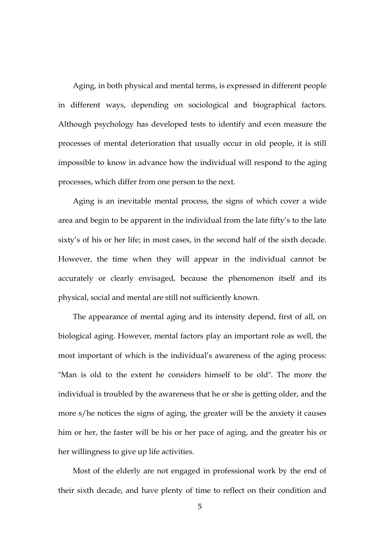Aging, in both physical and mental terms, is expressed in different people in different ways, depending on sociological and biographical factors. Although psychology has developed tests to identify and even measure the processes of mental deterioration that usually occur in old people, it is still impossible to know in advance how the individual will respond to the aging processes, which differ from one person to the next.

Aging is an inevitable mental process, the signs of which cover a wide area and begin to be apparent in the individual from the late fifty's to the late sixty's of his or her life; in most cases, in the second half of the sixth decade. However, the time when they will appear in the individual cannot be accurately or clearly envisaged, because the phenomenon itself and its physical, social and mental are still not sufficiently known.

The appearance of mental aging and its intensity depend, first of all, on biological aging. However, mental factors play an important role as well, the most important of which is the individual's awareness of the aging process: "Man is old to the extent he considers himself to be old". The more the individual is troubled by the awareness that he or she is getting older, and the more s/he notices the signs of aging, the greater will be the anxiety it causes him or her, the faster will be his or her pace of aging, and the greater his or her willingness to give up life activities.

Most of the elderly are not engaged in professional work by the end of their sixth decade, and have plenty of time to reflect on their condition and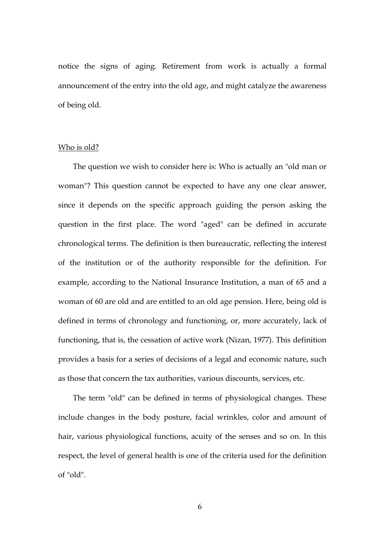notice the signs of aging. Retirement from work is actually a formal announcement of the entry into the old age, and might catalyze the awareness of being old.

## Who is old?

The question we wish to consider here is: Who is actually an "old man or woman"? This question cannot be expected to have any one clear answer, since it depends on the specific approach guiding the person asking the question in the first place. The word "aged" can be defined in accurate chronological terms. The definition is then bureaucratic, reflecting the interest of the institution or of the authority responsible for the definition. For example, according to the National Insurance Institution, a man of 65 and a woman of 60 are old and are entitled to an old age pension. Here, being old is defined in terms of chronology and functioning, or, more accurately, lack of functioning, that is, the cessation of active work (Nizan, 1977). This definition provides a basis for a series of decisions of a legal and economic nature, such as those that concern the tax authorities, various discounts, services, etc.

The term "old" can be defined in terms of physiological changes. These include changes in the body posture, facial wrinkles, color and amount of hair, various physiological functions, acuity of the senses and so on. In this respect, the level of general health is one of the criteria used for the definition of "old".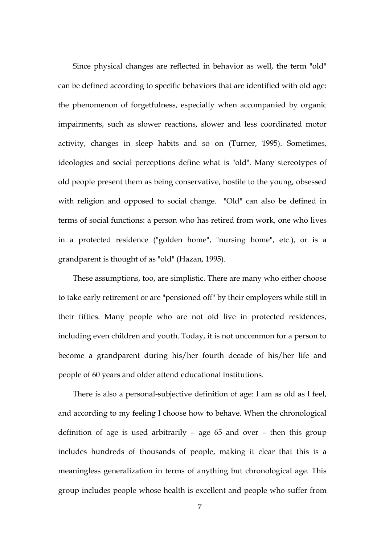Since physical changes are reflected in behavior as well, the term "old" can be defined according to specific behaviors that are identified with old age: the phenomenon of forgetfulness, especially when accompanied by organic impairments, such as slower reactions, slower and less coordinated motor activity, changes in sleep habits and so on (Turner, 1995). Sometimes, ideologies and social perceptions define what is "old". Many stereotypes of old people present them as being conservative, hostile to the young, obsessed with religion and opposed to social change. "Old" can also be defined in terms of social functions: a person who has retired from work, one who lives in a protected residence ("golden home", "nursing home", etc.), or is a grandparent is thought of as "old" (Hazan, 1995).

These assumptions, too, are simplistic. There are many who either choose to take early retirement or are "pensioned off" by their employers while still in their fifties. Many people who are not old live in protected residences, including even children and youth. Today, it is not uncommon for a person to become a grandparent during his/her fourth decade of his/her life and people of 60 years and older attend educational institutions.

There is also a personal-subjective definition of age: I am as old as I feel, and according to my feeling I choose how to behave. When the chronological definition of age is used arbitrarily – age 65 and over – then this group includes hundreds of thousands of people, making it clear that this is a meaningless generalization in terms of anything but chronological age. This group includes people whose health is excellent and people who suffer from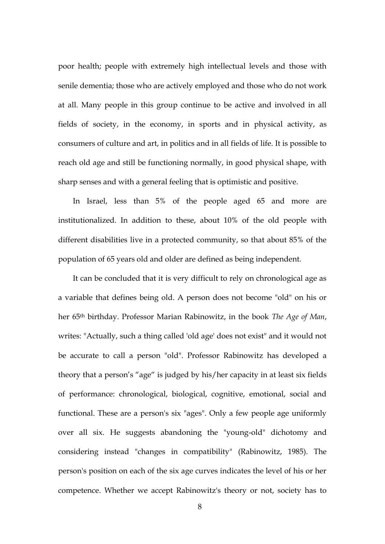poor health; people with extremely high intellectual levels and those with senile dementia; those who are actively employed and those who do not work at all. Many people in this group continue to be active and involved in all fields of society, in the economy, in sports and in physical activity, as consumers of culture and art, in politics and in all fields of life. It is possible to reach old age and still be functioning normally, in good physical shape, with sharp senses and with a general feeling that is optimistic and positive.

In Israel, less than 5% of the people aged 65 and more are institutionalized. In addition to these, about 10% of the old people with different disabilities live in a protected community, so that about 85% of the population of 65 years old and older are defined as being independent.

It can be concluded that it is very difficult to rely on chronological age as a variable that defines being old. A person does not become "old" on his or her 65th birthday. Professor Marian Rabinowitz, in the book *The Age of Man*, writes: "Actually, such a thing called 'old age' does not exist" and it would not be accurate to call a person "old". Professor Rabinowitz has developed a theory that a person's "age" is judged by his/her capacity in at least six fields of performance: chronological, biological, cognitive, emotional, social and functional. These are a person's six "ages". Only a few people age uniformly over all six. He suggests abandoning the "young-old" dichotomy and considering instead "changes in compatibility" (Rabinowitz, 1985). The person's position on each of the six age curves indicates the level of his or her competence. Whether we accept Rabinowitz's theory or not, society has to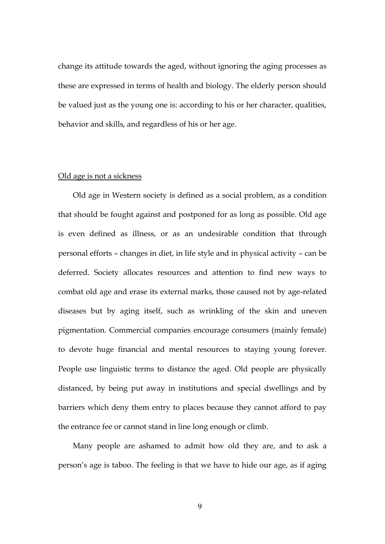change its attitude towards the aged, without ignoring the aging processes as these are expressed in terms of health and biology. The elderly person should be valued just as the young one is: according to his or her character, qualities, behavior and skills, and regardless of his or her age.

## Old age is not a sickness

Old age in Western society is defined as a social problem, as a condition that should be fought against and postponed for as long as possible. Old age is even defined as illness, or as an undesirable condition that through personal efforts – changes in diet, in life style and in physical activity – can be deferred. Society allocates resources and attention to find new ways to combat old age and erase its external marks, those caused not by age-related diseases but by aging itself, such as wrinkling of the skin and uneven pigmentation. Commercial companies encourage consumers (mainly female) to devote huge financial and mental resources to staying young forever. People use linguistic terms to distance the aged. Old people are physically distanced, by being put away in institutions and special dwellings and by barriers which deny them entry to places because they cannot afford to pay the entrance fee or cannot stand in line long enough or climb.

Many people are ashamed to admit how old they are, and to ask a person's age is taboo. The feeling is that we have to hide our age, as if aging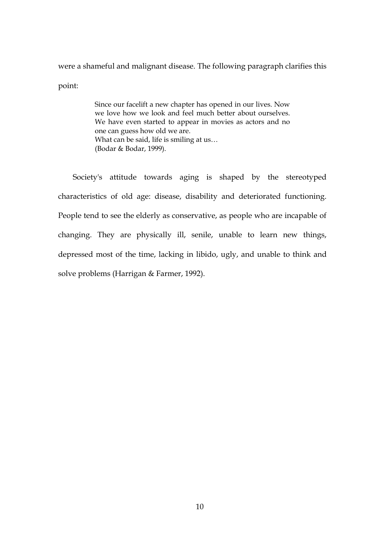were a shameful and malignant disease. The following paragraph clarifies this point:

> Since our facelift a new chapter has opened in our lives. Now we love how we look and feel much better about ourselves. We have even started to appear in movies as actors and no one can guess how old we are. What can be said, life is smiling at us... (Bodar & Bodar, 1999).

Society's attitude towards aging is shaped by the stereotyped characteristics of old age: disease, disability and deteriorated functioning. People tend to see the elderly as conservative, as people who are incapable of changing. They are physically ill, senile, unable to learn new things, depressed most of the time, lacking in libido, ugly, and unable to think and solve problems (Harrigan & Farmer, 1992).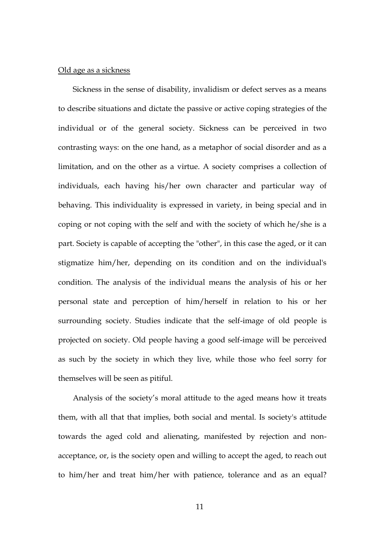## Old age as a sickness

Sickness in the sense of disability, invalidism or defect serves as a means to describe situations and dictate the passive or active coping strategies of the individual or of the general society. Sickness can be perceived in two contrasting ways: on the one hand, as a metaphor of social disorder and as a limitation, and on the other as a virtue. A society comprises a collection of individuals, each having his/her own character and particular way of behaving. This individuality is expressed in variety, in being special and in coping or not coping with the self and with the society of which he/she is a part. Society is capable of accepting the "other", in this case the aged, or it can stigmatize him/her, depending on its condition and on the individual's condition. The analysis of the individual means the analysis of his or her personal state and perception of him/herself in relation to his or her surrounding society. Studies indicate that the self-image of old people is projected on society. Old people having a good self-image will be perceived as such by the society in which they live, while those who feel sorry for themselves will be seen as pitiful.

Analysis of the society's moral attitude to the aged means how it treats them, with all that that implies, both social and mental. Is society's attitude towards the aged cold and alienating, manifested by rejection and nonacceptance, or, is the society open and willing to accept the aged, to reach out to him/her and treat him/her with patience, tolerance and as an equal?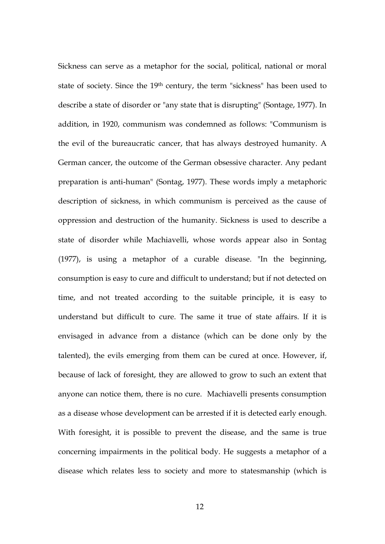Sickness can serve as a metaphor for the social, political, national or moral state of society. Since the 19th century, the term "sickness" has been used to describe a state of disorder or "any state that is disrupting" (Sontage, 1977). In addition, in 1920, communism was condemned as follows: "Communism is the evil of the bureaucratic cancer, that has always destroyed humanity. A German cancer, the outcome of the German obsessive character. Any pedant preparation is anti-human" (Sontag, 1977). These words imply a metaphoric description of sickness, in which communism is perceived as the cause of oppression and destruction of the humanity. Sickness is used to describe a state of disorder while Machiavelli, whose words appear also in Sontag (1977), is using a metaphor of a curable disease. "In the beginning, consumption is easy to cure and difficult to understand; but if not detected on time, and not treated according to the suitable principle, it is easy to understand but difficult to cure. The same it true of state affairs. If it is envisaged in advance from a distance (which can be done only by the talented), the evils emerging from them can be cured at once. However, if, because of lack of foresight, they are allowed to grow to such an extent that anyone can notice them, there is no cure. Machiavelli presents consumption as a disease whose development can be arrested if it is detected early enough. With foresight, it is possible to prevent the disease, and the same is true concerning impairments in the political body. He suggests a metaphor of a disease which relates less to society and more to statesmanship (which is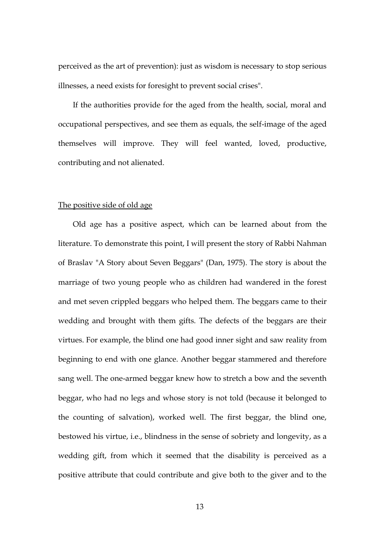perceived as the art of prevention): just as wisdom is necessary to stop serious illnesses, a need exists for foresight to prevent social crises".

If the authorities provide for the aged from the health, social, moral and occupational perspectives, and see them as equals, the self-image of the aged themselves will improve. They will feel wanted, loved, productive, contributing and not alienated.

## The positive side of old age

Old age has a positive aspect, which can be learned about from the literature. To demonstrate this point, I will present the story of Rabbi Nahman of Braslav "A Story about Seven Beggars" (Dan, 1975). The story is about the marriage of two young people who as children had wandered in the forest and met seven crippled beggars who helped them. The beggars came to their wedding and brought with them gifts. The defects of the beggars are their virtues. For example, the blind one had good inner sight and saw reality from beginning to end with one glance. Another beggar stammered and therefore sang well. The one-armed beggar knew how to stretch a bow and the seventh beggar, who had no legs and whose story is not told (because it belonged to the counting of salvation), worked well. The first beggar, the blind one, bestowed his virtue, i.e., blindness in the sense of sobriety and longevity, as a wedding gift, from which it seemed that the disability is perceived as a positive attribute that could contribute and give both to the giver and to the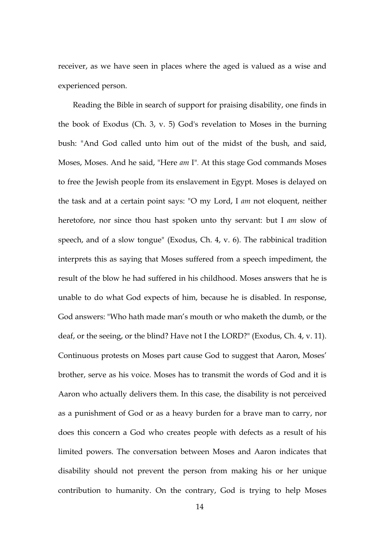receiver, as we have seen in places where the aged is valued as a wise and experienced person.

Reading the Bible in search of support for praising disability, one finds in the book of Exodus (Ch. 3, v. 5) God's revelation to Moses in the burning bush: "And God called unto him out of the midst of the bush, and said, Moses, Moses. And he said, "Here *am* I". At this stage God commands Moses to free the Jewish people from its enslavement in Egypt. Moses is delayed on the task and at a certain point says: "O my Lord, I *am* not eloquent, neither heretofore, nor since thou hast spoken unto thy servant: but I *am* slow of speech, and of a slow tongue" (Exodus, Ch. 4, v. 6). The rabbinical tradition interprets this as saying that Moses suffered from a speech impediment, the result of the blow he had suffered in his childhood. Moses answers that he is unable to do what God expects of him, because he is disabled. In response, God answers: "Who hath made man's mouth or who maketh the dumb, or the deaf, or the seeing, or the blind? Have not I the LORD?" (Exodus, Ch. 4, v. 11). Continuous protests on Moses part cause God to suggest that Aaron, Moses' brother, serve as his voice. Moses has to transmit the words of God and it is Aaron who actually delivers them. In this case, the disability is not perceived as a punishment of God or as a heavy burden for a brave man to carry, nor does this concern a God who creates people with defects as a result of his limited powers. The conversation between Moses and Aaron indicates that disability should not prevent the person from making his or her unique contribution to humanity. On the contrary, God is trying to help Moses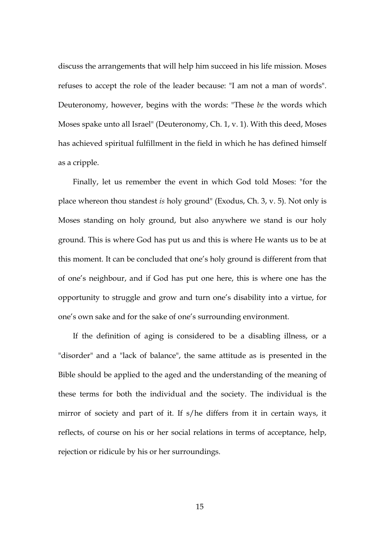discuss the arrangements that will help him succeed in his life mission. Moses refuses to accept the role of the leader because: "I am not a man of words". Deuteronomy, however, begins with the words: "These *be* the words which Moses spake unto all Israel" (Deuteronomy, Ch. 1, v. 1). With this deed, Moses has achieved spiritual fulfillment in the field in which he has defined himself as a cripple.

Finally, let us remember the event in which God told Moses: "for the place whereon thou standest *is* holy ground" (Exodus, Ch. 3, v. 5). Not only is Moses standing on holy ground, but also anywhere we stand is our holy ground. This is where God has put us and this is where He wants us to be at this moment. It can be concluded that one's holy ground is different from that of one's neighbour, and if God has put one here, this is where one has the opportunity to struggle and grow and turn one's disability into a virtue, for one's own sake and for the sake of one's surrounding environment.

If the definition of aging is considered to be a disabling illness, or a "disorder" and a "lack of balance", the same attitude as is presented in the Bible should be applied to the aged and the understanding of the meaning of these terms for both the individual and the society. The individual is the mirror of society and part of it. If s/he differs from it in certain ways, it reflects, of course on his or her social relations in terms of acceptance, help, rejection or ridicule by his or her surroundings.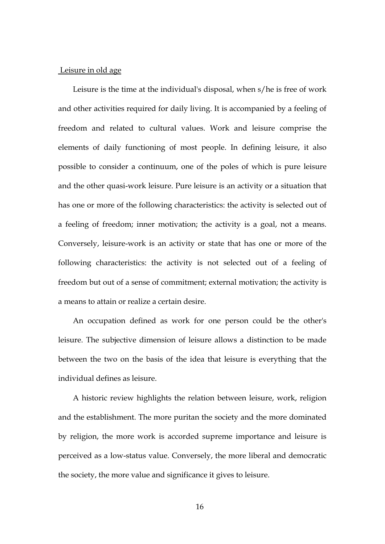#### Leisure in old age

Leisure is the time at the individual's disposal, when s/he is free of work and other activities required for daily living. It is accompanied by a feeling of freedom and related to cultural values. Work and leisure comprise the elements of daily functioning of most people. In defining leisure, it also possible to consider a continuum, one of the poles of which is pure leisure and the other quasi-work leisure. Pure leisure is an activity or a situation that has one or more of the following characteristics: the activity is selected out of a feeling of freedom; inner motivation; the activity is a goal, not a means. Conversely, leisure-work is an activity or state that has one or more of the following characteristics: the activity is not selected out of a feeling of freedom but out of a sense of commitment; external motivation; the activity is a means to attain or realize a certain desire.

An occupation defined as work for one person could be the other's leisure. The subjective dimension of leisure allows a distinction to be made between the two on the basis of the idea that leisure is everything that the individual defines as leisure.

A historic review highlights the relation between leisure, work, religion and the establishment. The more puritan the society and the more dominated by religion, the more work is accorded supreme importance and leisure is perceived as a low-status value. Conversely, the more liberal and democratic the society, the more value and significance it gives to leisure.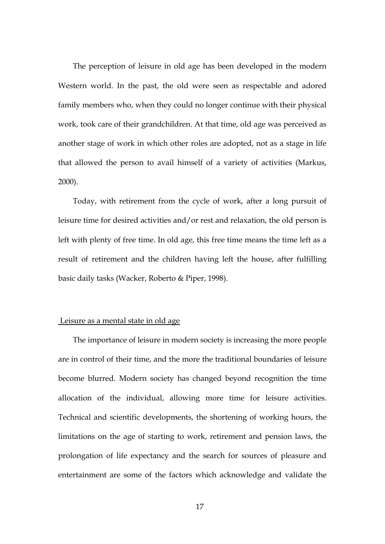The perception of leisure in old age has been developed in the modern Western world. In the past, the old were seen as respectable and adored family members who, when they could no longer continue with their physical work, took care of their grandchildren. At that time, old age was perceived as another stage of work in which other roles are adopted, not as a stage in life that allowed the person to avail himself of a variety of activities (Markus, 2000).

Today, with retirement from the cycle of work, after a long pursuit of leisure time for desired activities and/or rest and relaxation, the old person is left with plenty of free time. In old age, this free time means the time left as a result of retirement and the children having left the house, after fulfilling basic daily tasks (Wacker, Roberto & Piper, 1998).

#### Leisure as a mental state in old age

The importance of leisure in modern society is increasing the more people are in control of their time, and the more the traditional boundaries of leisure become blurred. Modern society has changed beyond recognition the time allocation of the individual, allowing more time for leisure activities. Technical and scientific developments, the shortening of working hours, the limitations on the age of starting to work, retirement and pension laws, the prolongation of life expectancy and the search for sources of pleasure and entertainment are some of the factors which acknowledge and validate the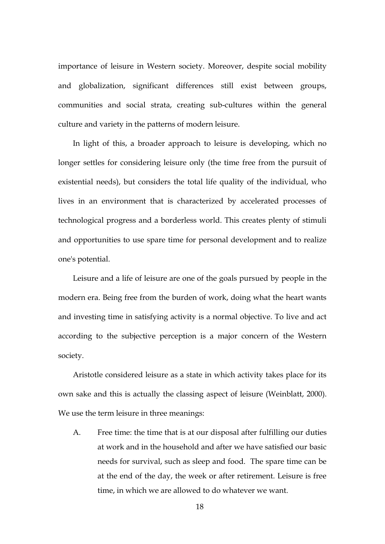importance of leisure in Western society. Moreover, despite social mobility and globalization, significant differences still exist between groups, communities and social strata, creating sub-cultures within the general culture and variety in the patterns of modern leisure.

In light of this, a broader approach to leisure is developing, which no longer settles for considering leisure only (the time free from the pursuit of existential needs), but considers the total life quality of the individual, who lives in an environment that is characterized by accelerated processes of technological progress and a borderless world. This creates plenty of stimuli and opportunities to use spare time for personal development and to realize one's potential.

Leisure and a life of leisure are one of the goals pursued by people in the modern era. Being free from the burden of work, doing what the heart wants and investing time in satisfying activity is a normal objective. To live and act according to the subjective perception is a major concern of the Western society.

Aristotle considered leisure as a state in which activity takes place for its own sake and this is actually the classing aspect of leisure (Weinblatt, 2000). We use the term leisure in three meanings:

A. Free time: the time that is at our disposal after fulfilling our duties at work and in the household and after we have satisfied our basic needs for survival, such as sleep and food. The spare time can be at the end of the day, the week or after retirement. Leisure is free time, in which we are allowed to do whatever we want.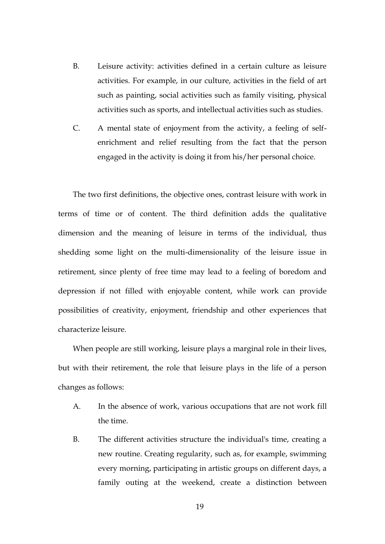- B. Leisure activity: activities defined in a certain culture as leisure activities. For example, in our culture, activities in the field of art such as painting, social activities such as family visiting, physical activities such as sports, and intellectual activities such as studies.
- C. A mental state of enjoyment from the activity, a feeling of selfenrichment and relief resulting from the fact that the person engaged in the activity is doing it from his/her personal choice.

The two first definitions, the objective ones, contrast leisure with work in terms of time or of content. The third definition adds the qualitative dimension and the meaning of leisure in terms of the individual, thus shedding some light on the multi-dimensionality of the leisure issue in retirement, since plenty of free time may lead to a feeling of boredom and depression if not filled with enjoyable content, while work can provide possibilities of creativity, enjoyment, friendship and other experiences that characterize leisure.

When people are still working, leisure plays a marginal role in their lives, but with their retirement, the role that leisure plays in the life of a person changes as follows:

- A. In the absence of work, various occupations that are not work fill the time.
- B. The different activities structure the individual's time, creating a new routine. Creating regularity, such as, for example, swimming every morning, participating in artistic groups on different days, a family outing at the weekend, create a distinction between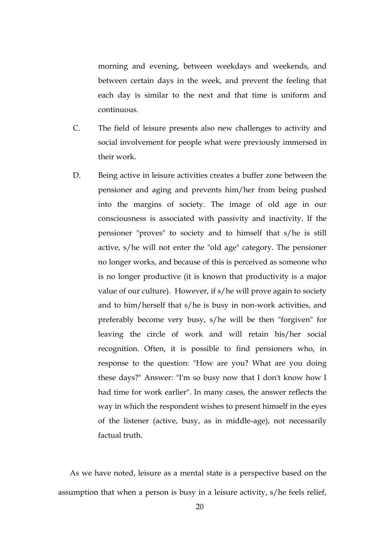morning and evening, between weekdays and weekends, and between certain days in the week, and prevent the feeling that each day is similar to the next and that time is uniform and continuous.

- C. The field of leisure presents also new challenges to activity and social involvement for people what were previously immersed in their work.
- D. Being active in leisure activities creates a buffer zone between the pensioner and aging and prevents him/her from being pushed into the margins of society. The image of old age in our consciousness is associated with passivity and inactivity. If the pensioner "proves" to society and to himself that s/he is still active, s/he will not enter the "old age" category. The pensioner no longer works, and because of this is perceived as someone who is no longer productive (it is known that productivity is a major value of our culture). However, if s/he will prove again to society and to him/herself that s/he is busy in non-work activities, and preferably become very busy, s/he will be then "forgiven" for leaving the circle of work and will retain his/her social recognition. Often, it is possible to find pensioners who, in response to the question: "How are you? What are you doing these days?" Answer: "I'm so busy now that I don't know how I had time for work earlier". In many cases, the answer reflects the way in which the respondent wishes to present himself in the eyes of the listener (active, busy, as in middle-age), not necessarily factual truth.

As we have noted, leisure as a mental state is a perspective based on the assumption that when a person is busy in a leisure activity, s/he feels relief,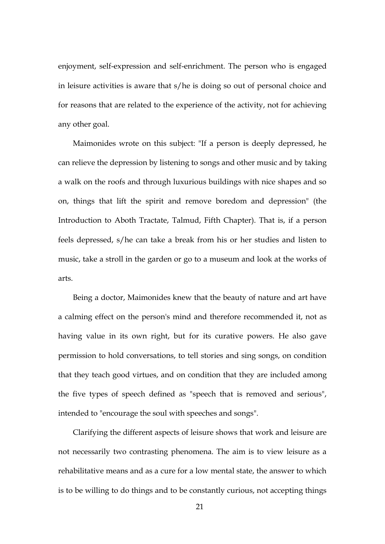enjoyment, self-expression and self-enrichment. The person who is engaged in leisure activities is aware that s/he is doing so out of personal choice and for reasons that are related to the experience of the activity, not for achieving any other goal.

Maimonides wrote on this subject: "If a person is deeply depressed, he can relieve the depression by listening to songs and other music and by taking a walk on the roofs and through luxurious buildings with nice shapes and so on, things that lift the spirit and remove boredom and depression" (the Introduction to Aboth Tractate, Talmud, Fifth Chapter). That is, if a person feels depressed, s/he can take a break from his or her studies and listen to music, take a stroll in the garden or go to a museum and look at the works of arts.

Being a doctor, Maimonides knew that the beauty of nature and art have a calming effect on the person's mind and therefore recommended it, not as having value in its own right, but for its curative powers. He also gave permission to hold conversations, to tell stories and sing songs, on condition that they teach good virtues, and on condition that they are included among the five types of speech defined as "speech that is removed and serious", intended to "encourage the soul with speeches and songs".

Clarifying the different aspects of leisure shows that work and leisure are not necessarily two contrasting phenomena. The aim is to view leisure as a rehabilitative means and as a cure for a low mental state, the answer to which is to be willing to do things and to be constantly curious, not accepting things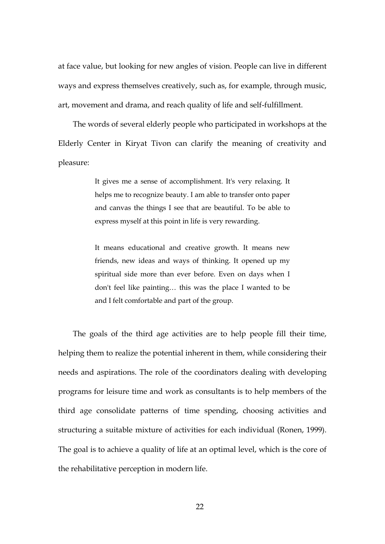at face value, but looking for new angles of vision. People can live in different ways and express themselves creatively, such as, for example, through music, art, movement and drama, and reach quality of life and self-fulfillment.

The words of several elderly people who participated in workshops at the Elderly Center in Kiryat Tivon can clarify the meaning of creativity and pleasure:

> It gives me a sense of accomplishment. It's very relaxing. It helps me to recognize beauty. I am able to transfer onto paper and canvas the things I see that are beautiful. To be able to express myself at this point in life is very rewarding.

> It means educational and creative growth. It means new friends, new ideas and ways of thinking. It opened up my spiritual side more than ever before. Even on days when I don't feel like painting… this was the place I wanted to be and I felt comfortable and part of the group.

The goals of the third age activities are to help people fill their time, helping them to realize the potential inherent in them, while considering their needs and aspirations. The role of the coordinators dealing with developing programs for leisure time and work as consultants is to help members of the third age consolidate patterns of time spending, choosing activities and structuring a suitable mixture of activities for each individual (Ronen, 1999). The goal is to achieve a quality of life at an optimal level, which is the core of the rehabilitative perception in modern life.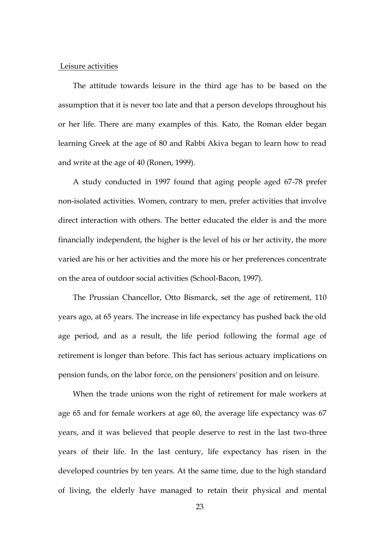#### Leisure activities

The attitude towards leisure in the third age has to be based on the assumption that it is never too late and that a person develops throughout his or her life. There are many examples of this. Kato, the Roman elder began learning Greek at the age of 80 and Rabbi Akiva began to learn how to read and write at the age of 40 (Ronen, 1999).

A study conducted in 1997 found that aging people aged 67-78 prefer non-isolated activities. Women, contrary to men, prefer activities that involve direct interaction with others. The better educated the elder is and the more financially independent, the higher is the level of his or her activity, the more varied are his or her activities and the more his or her preferences concentrate on the area of outdoor social activities (School-Bacon, 1997).

The Prussian Chancellor, Otto Bismarck, set the age of retirement, 110 years ago, at 65 years. The increase in life expectancy has pushed back the old age period, and as a result, the life period following the formal age of retirement is longer than before. This fact has serious actuary implications on pension funds, on the labor force, on the pensioners' position and on leisure.

When the trade unions won the right of retirement for male workers at age 65 and for female workers at age 60, the average life expectancy was 67 years, and it was believed that people deserve to rest in the last two-three years of their life. In the last century, life expectancy has risen in the developed countries by ten years. At the same time, due to the high standard of living, the elderly have managed to retain their physical and mental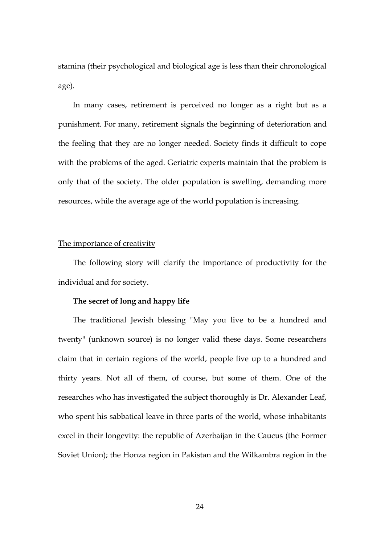stamina (their psychological and biological age is less than their chronological age).

In many cases, retirement is perceived no longer as a right but as a punishment. For many, retirement signals the beginning of deterioration and the feeling that they are no longer needed. Society finds it difficult to cope with the problems of the aged. Geriatric experts maintain that the problem is only that of the society. The older population is swelling, demanding more resources, while the average age of the world population is increasing.

# The importance of creativity

The following story will clarify the importance of productivity for the individual and for society.

# **The secret of long and happy life**

The traditional Jewish blessing "May you live to be a hundred and twenty" (unknown source) is no longer valid these days. Some researchers claim that in certain regions of the world, people live up to a hundred and thirty years. Not all of them, of course, but some of them. One of the researches who has investigated the subject thoroughly is Dr. Alexander Leaf, who spent his sabbatical leave in three parts of the world, whose inhabitants excel in their longevity: the republic of Azerbaijan in the Caucus (the Former Soviet Union); the Honza region in Pakistan and the Wilkambra region in the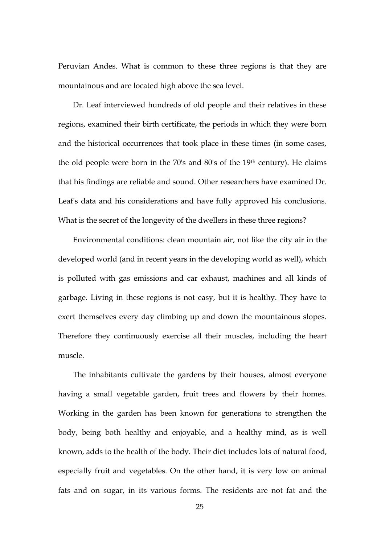Peruvian Andes. What is common to these three regions is that they are mountainous and are located high above the sea level.

Dr. Leaf interviewed hundreds of old people and their relatives in these regions, examined their birth certificate, the periods in which they were born and the historical occurrences that took place in these times (in some cases, the old people were born in the 70's and 80's of the 19th century). He claims that his findings are reliable and sound. Other researchers have examined Dr. Leaf's data and his considerations and have fully approved his conclusions. What is the secret of the longevity of the dwellers in these three regions?

Environmental conditions: clean mountain air, not like the city air in the developed world (and in recent years in the developing world as well), which is polluted with gas emissions and car exhaust, machines and all kinds of garbage. Living in these regions is not easy, but it is healthy. They have to exert themselves every day climbing up and down the mountainous slopes. Therefore they continuously exercise all their muscles, including the heart muscle.

The inhabitants cultivate the gardens by their houses, almost everyone having a small vegetable garden, fruit trees and flowers by their homes. Working in the garden has been known for generations to strengthen the body, being both healthy and enjoyable, and a healthy mind, as is well known, adds to the health of the body. Their diet includes lots of natural food, especially fruit and vegetables. On the other hand, it is very low on animal fats and on sugar, in its various forms. The residents are not fat and the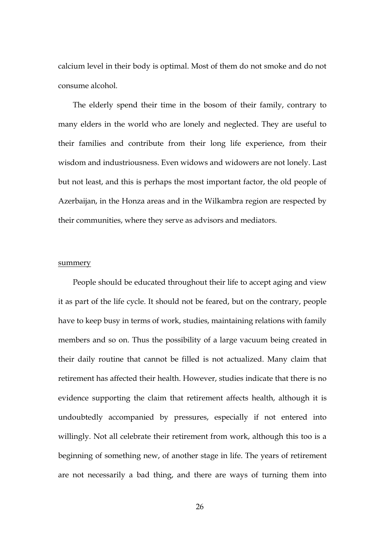calcium level in their body is optimal. Most of them do not smoke and do not consume alcohol.

The elderly spend their time in the bosom of their family, contrary to many elders in the world who are lonely and neglected. They are useful to their families and contribute from their long life experience, from their wisdom and industriousness. Even widows and widowers are not lonely. Last but not least, and this is perhaps the most important factor, the old people of Azerbaijan, in the Honza areas and in the Wilkambra region are respected by their communities, where they serve as advisors and mediators.

#### summery

People should be educated throughout their life to accept aging and view it as part of the life cycle. It should not be feared, but on the contrary, people have to keep busy in terms of work, studies, maintaining relations with family members and so on. Thus the possibility of a large vacuum being created in their daily routine that cannot be filled is not actualized. Many claim that retirement has affected their health. However, studies indicate that there is no evidence supporting the claim that retirement affects health, although it is undoubtedly accompanied by pressures, especially if not entered into willingly. Not all celebrate their retirement from work, although this too is a beginning of something new, of another stage in life. The years of retirement are not necessarily a bad thing, and there are ways of turning them into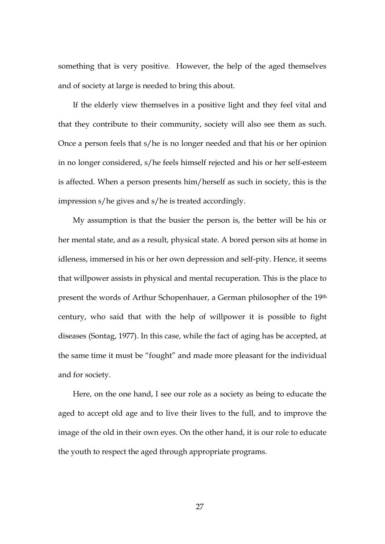something that is very positive. However, the help of the aged themselves and of society at large is needed to bring this about.

If the elderly view themselves in a positive light and they feel vital and that they contribute to their community, society will also see them as such. Once a person feels that s/he is no longer needed and that his or her opinion in no longer considered, s/he feels himself rejected and his or her self-esteem is affected. When a person presents him/herself as such in society, this is the impression s/he gives and s/he is treated accordingly.

My assumption is that the busier the person is, the better will be his or her mental state, and as a result, physical state. A bored person sits at home in idleness, immersed in his or her own depression and self-pity. Hence, it seems that willpower assists in physical and mental recuperation. This is the place to present the words of Arthur Schopenhauer, a German philosopher of the 19th century, who said that with the help of willpower it is possible to fight diseases (Sontag, 1977). In this case, while the fact of aging has be accepted, at the same time it must be "fought" and made more pleasant for the individual and for society.

Here, on the one hand, I see our role as a society as being to educate the aged to accept old age and to live their lives to the full, and to improve the image of the old in their own eyes. On the other hand, it is our role to educate the youth to respect the aged through appropriate programs.

27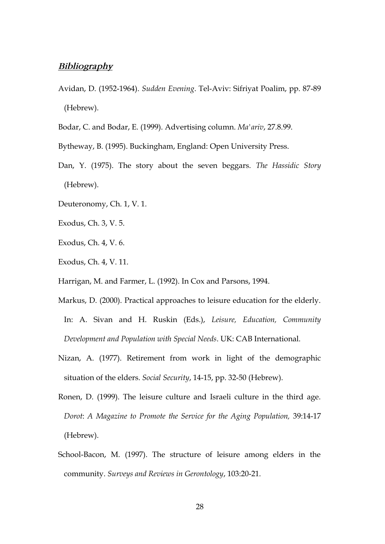# *Bibliography*

- Avidan, D. (1952-1964). *Sudden Evening*. Tel-Aviv: Sifriyat Poalim, pp. 87-89 (Hebrew).
- Bodar, C. and Bodar, E. (1999). Advertising column. *Ma'ariv*, 27.8.99.
- Bytheway, B. (1995). Buckingham, England: Open University Press.
- Dan, Y. (1975). The story about the seven beggars. *The Hassidic Story* (Hebrew).
- Deuteronomy, Ch. 1, V. 1.
- Exodus, Ch. 3, V. 5.
- Exodus, Ch. 4, V. 6.
- Exodus, Ch. 4, V. 11.
- Harrigan, M. and Farmer, L. (1992). In Cox and Parsons, 1994.
- Markus, D. (2000). Practical approaches to leisure education for the elderly. In: A. Sivan and H. Ruskin (Eds.), *Leisure, Education, Community Development and Population with Special Needs*. UK: CAB International.
- Nizan, A. (1977). Retirement from work in light of the demographic situation of the elders. *Social Security*, 14-15, pp. 32-50 (Hebrew).
- Ronen, D. (1999). The leisure culture and Israeli culture in the third age. *Dorot*: *A Magazine to Promote the Service for the Aging Population,* 39:14-17 (Hebrew).
- School-Bacon, M. (1997). The structure of leisure among elders in the community. *Surveys and Reviews in Gerontology*, 103:20-21.